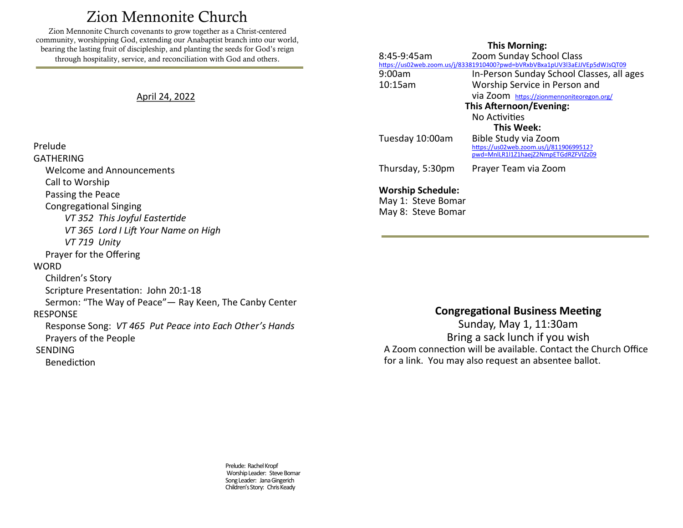# Zion Mennonite Church

<span id="page-0-0"></span>Zion Mennonite Church covenants to grow together as a Christ-centered community, worshipping God, extending our Anabaptist branch into our world, bearing the lasting fruit of discipleship, and planting the seeds for God's reign through hospitality, service, and reconciliation with God and others.

## April 24, 2022

## **This Morning:**

| 8:45-9:45am                                                                | Zoom Sunday School Class                                                       |
|----------------------------------------------------------------------------|--------------------------------------------------------------------------------|
| https://us02web.zoom.us/j/83381910400?pwd=bVRxbVBxa1pUV3l3aEJJVEp5dWJsQT09 |                                                                                |
| 9:00am                                                                     | In-Person Sunday School Classes, all ages                                      |
| 10:15am                                                                    | Worship Service in Person and                                                  |
|                                                                            | via Zoom https://zionmennoniteoregon.org/                                      |
| This Afternoon/Evening:                                                    |                                                                                |
|                                                                            | No Activities                                                                  |
| <b>This Week:</b>                                                          |                                                                                |
| Tuesday 10:00am                                                            | Bible Study via Zoom                                                           |
|                                                                            | https://us02web.zoom.us/j/81190699512?<br>pwd=MnlLR1l1Z1haejZ2NmpETGdRZFVIZz09 |
|                                                                            |                                                                                |
| Thursday, 5:30pm                                                           | Prayer Team via Zoom                                                           |
|                                                                            |                                                                                |
| <b>Worship Schedule:</b>                                                   |                                                                                |
|                                                                            |                                                                                |

May 1: Steve Bomar May 8: Steve Bomar

## Prayer for the Offering **WORD**

Prelude GATHERING

> Call to Worship Passing the Peace Congregational Singing

> > *VT 719 Unity*

Welcome and Announcements

*VT 352 This Joyful Eastertide*

*VT 365 Lord I Lift Your Name on High*

 Children's Story Scripture Presentation: John 20:1-18 Sermon: "The Way of Peace"— Ray Keen, The Canby Center RESPONSE Response Song: *VT 465 Put Peace into Each Other's Hands* Prayers of the People SENDING

#### Benediction

# **Congregational Business Meeting**

Sunday, May 1, 11:30am Bring a sack lunch if you wish A Zoom connection will be available. Contact the Church Office for a link. You may also request an absentee ballot.

Prelude: Rachel Kropf Worship Leader: Steve Bomar Song Leader: Jana Gingerich Children's Story: Chris Keady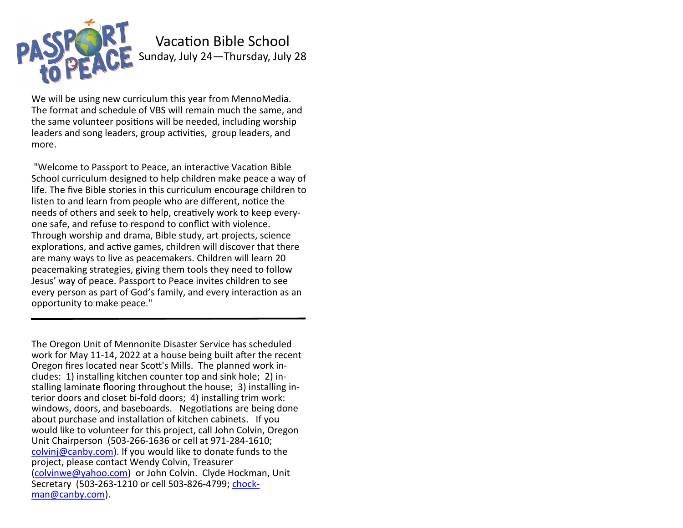

Vacation Bible School Sunday, July 24—Thursday, July 28

We will be using new curriculum this year from MennoMedia. The format and schedule of VBS will remain much the same, and the same volunteer positions will be needed, including worship leaders and song leaders, group activities, group leaders, and more.

"Welcome to Passport to Peace, an interactive Vacation Bible School curriculum designed to help children make peace a way of life. The five Bible stories in this curriculum encourage children to listen to and learn from people who are different, notice the needs of others and seek to help, creatively work to keep everyone safe, and refuse to respond to conflict with violence. Through worship and drama, Bible study, art projects, science explorations, and active games, children will discover that there are many ways to live as peacemakers. Children will learn 20 peacemaking strategies, giving them tools they need to follow Jesus' way of peace. Passport to Peace invites children to see every person as part of God's family, and every interaction as an opportunity to make peace."

The Oregon Unit of Mennonite Disaster Service has scheduled work for May 11-14, 2022 at a house being built after the recent Oregon fires located near Scott's Mills. The planned work includes: 1) installing kitchen counter top and sink hole; 2) installing laminate flooring throughout the house; 3) installing interior doors and closet bi-fold doors; 4) installing trim work: windows, doors, and baseboards. Negotiations are being done about purchase and installation of kitchen cabinets. If you would like to volunteer for this project, call John Colvin, Oregon Unit Chairperson (503-266-1636 or cell at 971-284-1610; [colvinj@canby.com\)](mailto:colvinj@canby.com). If you would like to donate funds to the project, please contact Wendy Colvin, Treasurer [\(colvinwe@yahoo.com\)](mailto:colvinwe@yahoo.com) or John Colvin. Clyde Hockman, Unit Secretary (503-263-1210 or cell 503-826-4799; [chock](mailto:chockman@canby.com)[man@canby.com\)](mailto:chockman@canby.com).